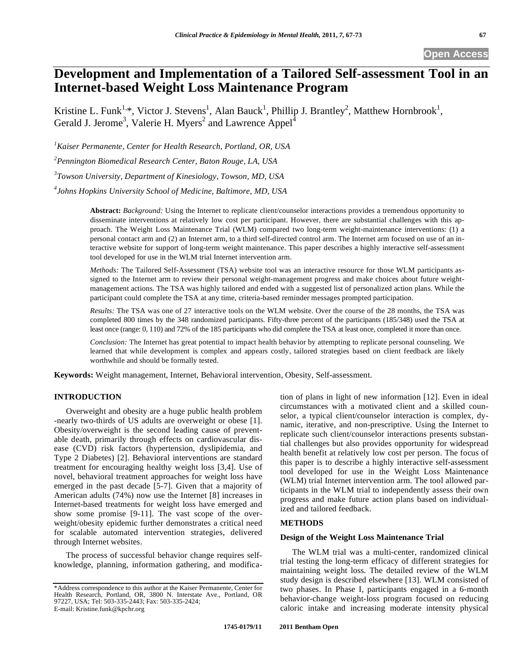# **Development and Implementation of a Tailored Self-assessment Tool in an Internet-based Weight Loss Maintenance Program**

Kristine L. Funk<sup>1,\*</sup>, Victor J. Stevens<sup>1</sup>, Alan Bauck<sup>1</sup>, Phillip J. Brantley<sup>2</sup>, Matthew Hornbrook<sup>1</sup>, Gerald J. Jerome<sup>3</sup>, Valerie H. Myers<sup>2</sup> and Lawrence Appel<sup>4</sup>

*1 Kaiser Permanente, Center for Health Research, Portland, OR, USA* 

*2 Pennington Biomedical Research Center, Baton Rouge, LA, USA* 

*3 Towson University, Department of Kinesiology, Towson, MD, USA* 

*4 Johns Hopkins University School of Medicine, Baltimore, MD, USA*

**Abstract:** *Background:* Using the Internet to replicate client/counselor interactions provides a tremendous opportunity to disseminate interventions at relatively low cost per participant. However, there are substantial challenges with this approach. The Weight Loss Maintenance Trial (WLM) compared two long-term weight-maintenance interventions: (1) a personal contact arm and (2) an Internet arm, to a third self-directed control arm. The Internet arm focused on use of an interactive website for support of long-term weight maintenance. This paper describes a highly interactive self-assessment tool developed for use in the WLM trial Internet intervention arm.

*Methods:* The Tailored Self-Assessment (TSA) website tool was an interactive resource for those WLM participants assigned to the Internet arm to review their personal weight-management progress and make choices about future weightmanagement actions. The TSA was highly tailored and ended with a suggested list of personalized action plans. While the participant could complete the TSA at any time, criteria-based reminder messages prompted participation.

*Results:* The TSA was one of 27 interactive tools on the WLM website. Over the course of the 28 months, the TSA was completed 800 times by the 348 randomized participants. Fifty-three percent of the participants (185/348) used the TSA at least once (range: 0, 110) and 72% of the 185 participants who did complete the TSA at least once, completed it more than once.

*Conclusion:* The Internet has great potential to impact health behavior by attempting to replicate personal counseling. We learned that while development is complex and appears costly, tailored strategies based on client feedback are likely worthwhile and should be formally tested.

**Keywords:** Weight management, Internet, Behavioral intervention, Obesity, Self-assessment.

# **INTRODUCTION**

Overweight and obesity are a huge public health problem -nearly two-thirds of US adults are overweight or obese [1]. Obesity/overweight is the second leading cause of preventable death, primarily through effects on cardiovascular disease (CVD) risk factors (hypertension, dyslipidemia, and Type 2 Diabetes) [2]. Behavioral interventions are standard treatment for encouraging healthy weight loss [3,4]. Use of novel, behavioral treatment approaches for weight loss have emerged in the past decade [5-7]. Given that a majority of American adults (74%) now use the Internet [8] increases in Internet-based treatments for weight loss have emerged and show some promise [9-11]. The vast scope of the overweight/obesity epidemic further demonstrates a critical need for scalable automated intervention strategies, delivered through Internet websites.

The process of successful behavior change requires selfknowledge, planning, information gathering, and modification of plans in light of new information [12]. Even in ideal circumstances with a motivated client and a skilled counselor, a typical client/counselor interaction is complex, dynamic, iterative, and non-prescriptive. Using the Internet to replicate such client/counselor interactions presents substantial challenges but also provides opportunity for widespread health benefit at relatively low cost per person. The focus of this paper is to describe a highly interactive self-assessment tool developed for use in the Weight Loss Maintenance (WLM) trial Internet intervention arm. The tool allowed participants in the WLM trial to independently assess their own progress and make future action plans based on individualized and tailored feedback.

# **METHODS**

#### **Design of the Weight Loss Maintenance Trial**

The WLM trial was a multi-center, randomized clinical trial testing the long-term efficacy of different strategies for maintaining weight loss. The detailed review of the WLM study design is described elsewhere [13]. WLM consisted of two phases. In Phase I, participants engaged in a 6-month behavior-change weight-loss program focused on reducing caloric intake and increasing moderate intensity physical

<sup>\*</sup>Address correspondence to this author at the Kaiser Permanente, Center for Health Research, Portland, OR, 3800 N. Interstate Ave., Portland, OR 97227, USA; Tel: 503-335-2443; Fax: 503-335-2424; E-mail: Kristine.funk@kpchr.org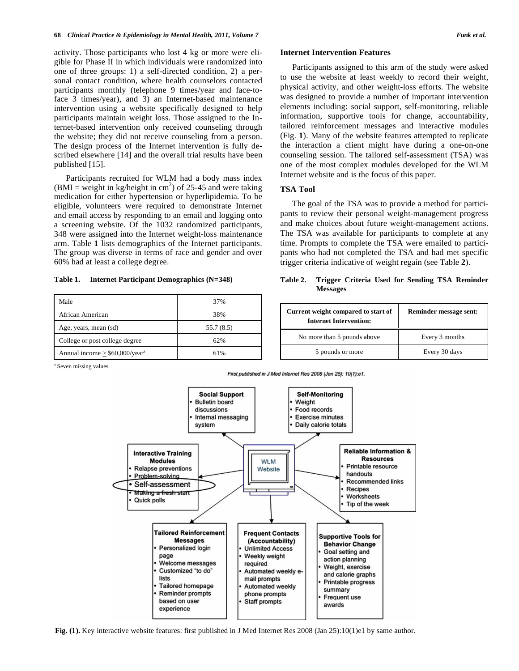activity. Those participants who lost 4 kg or more were eligible for Phase II in which individuals were randomized into one of three groups: 1) a self-directed condition, 2) a personal contact condition, where health counselors contacted participants monthly (telephone 9 times/year and face-toface 3 times/year), and 3) an Internet-based maintenance intervention using a website specifically designed to help participants maintain weight loss. Those assigned to the Internet-based intervention only received counseling through the website; they did not receive counseling from a person. The design process of the Internet intervention is fully described elsewhere [14] and the overall trial results have been published [15].

Participants recruited for WLM had a body mass index (BMI = weight in kg/height in cm<sup>2</sup>) of 25-45 and were taking medication for either hypertension or hyperlipidemia. To be eligible, volunteers were required to demonstrate Internet and email access by responding to an email and logging onto a screening website. Of the 1032 randomized participants, 348 were assigned into the Internet weight-loss maintenance arm. Table **1** lists demographics of the Internet participants. The group was diverse in terms of race and gender and over 60% had at least a college degree.

**Table 1. Internet Participant Demographics (N=348)** 

| Male                                         | 37%        |
|----------------------------------------------|------------|
| African American                             | 38%        |
| Age, years, mean (sd)                        | 55.7 (8.5) |
| College or post college degree               | 62%        |
| Annual income $>$ \$60,000/year <sup>a</sup> | 61%        |

<sup>a</sup> Seven missing values.

Participants assigned to this arm of the study were asked to use the website at least weekly to record their weight, physical activity, and other weight-loss efforts. The website was designed to provide a number of important intervention elements including: social support, self-monitoring, reliable information, supportive tools for change, accountability, tailored reinforcement messages and interactive modules (Fig. **1**). Many of the website features attempted to replicate the interaction a client might have during a one-on-one counseling session. The tailored self-assessment (TSA) was one of the most complex modules developed for the WLM Internet website and is the focus of this paper.

#### **TSA Tool**

The goal of the TSA was to provide a method for participants to review their personal weight-management progress and make choices about future weight-management actions. The TSA was available for participants to complete at any time. Prompts to complete the TSA were emailed to participants who had not completed the TSA and had met specific trigger criteria indicative of weight regain (see Table **2**).

# **Table 2. Trigger Criteria Used for Sending TSA Reminder Messages**

| Current weight compared to start of<br><b>Internet Intervention:</b> | Reminder message sent: |
|----------------------------------------------------------------------|------------------------|
| No more than 5 pounds above                                          | Every 3 months         |
| 5 pounds or more                                                     | Every 30 days          |

First published in J Med Internet Res 2008 (Jan 25); 10(1):e1.



**Fig. (1).** Key interactive website features: first published in J Med Internet Res 2008 (Jan 25):10(1)e1 by same author.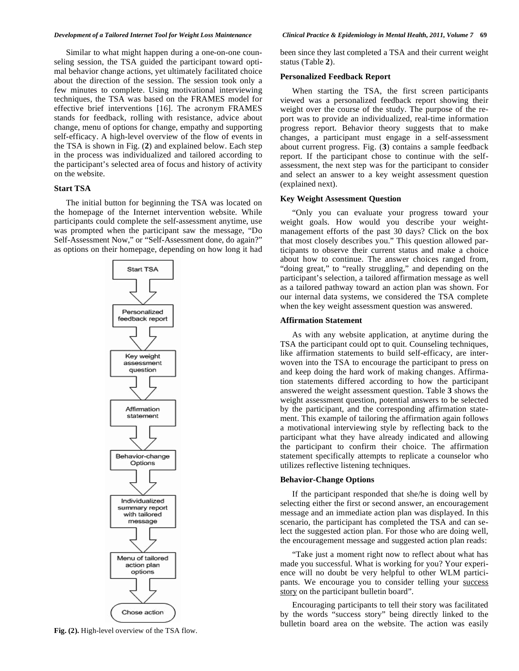Similar to what might happen during a one-on-one counseling session, the TSA guided the participant toward optimal behavior change actions, yet ultimately facilitated choice about the direction of the session. The session took only a few minutes to complete. Using motivational interviewing techniques, the TSA was based on the FRAMES model for effective brief interventions [16]. The acronym FRAMES stands for feedback, rolling with resistance, advice about change, menu of options for change, empathy and supporting self-efficacy. A high-level overview of the flow of events in the TSA is shown in Fig. (**2**) and explained below. Each step in the process was individualized and tailored according to the participant's selected area of focus and history of activity on the website.

# **Start TSA**

The initial button for beginning the TSA was located on the homepage of the Internet intervention website. While participants could complete the self-assessment anytime, use was prompted when the participant saw the message, "Do Self-Assessment Now," or "Self-Assessment done, do again?" as options on their homepage, depending on how long it had



been since they last completed a TSA and their current weight status (Table **2**).

### **Personalized Feedback Report**

When starting the TSA, the first screen participants viewed was a personalized feedback report showing their weight over the course of the study. The purpose of the report was to provide an individualized, real-time information progress report. Behavior theory suggests that to make changes, a participant must engage in a self-assessment about current progress. Fig. (**3**) contains a sample feedback report. If the participant chose to continue with the selfassessment, the next step was for the participant to consider and select an answer to a key weight assessment question (explained next).

#### **Key Weight Assessment Question**

"Only you can evaluate your progress toward your weight goals. How would you describe your weightmanagement efforts of the past 30 days? Click on the box that most closely describes you." This question allowed participants to observe their current status and make a choice about how to continue. The answer choices ranged from, "doing great," to "really struggling," and depending on the participant's selection, a tailored affirmation message as well as a tailored pathway toward an action plan was shown. For our internal data systems, we considered the TSA complete when the key weight assessment question was answered.

#### **Affirmation Statement**

As with any website application, at anytime during the TSA the participant could opt to quit. Counseling techniques, like affirmation statements to build self-efficacy, are interwoven into the TSA to encourage the participant to press on and keep doing the hard work of making changes. Affirmation statements differed according to how the participant answered the weight assessment question. Table **3** shows the weight assessment question, potential answers to be selected by the participant, and the corresponding affirmation statement. This example of tailoring the affirmation again follows a motivational interviewing style by reflecting back to the participant what they have already indicated and allowing the participant to confirm their choice. The affirmation statement specifically attempts to replicate a counselor who utilizes reflective listening techniques.

# **Behavior-Change Options**

If the participant responded that she/he is doing well by selecting either the first or second answer, an encouragement message and an immediate action plan was displayed. In this scenario, the participant has completed the TSA and can select the suggested action plan. For those who are doing well, the encouragement message and suggested action plan reads:

"Take just a moment right now to reflect about what has made you successful. What is working for you? Your experience will no doubt be very helpful to other WLM participants. We encourage you to consider telling your success story on the participant bulletin board".

Encouraging participants to tell their story was facilitated by the words "success story" being directly linked to the **Fig. (2).** High-level overview of the TSA flow. **Fig. (2).** High-level overview of the TSA flow.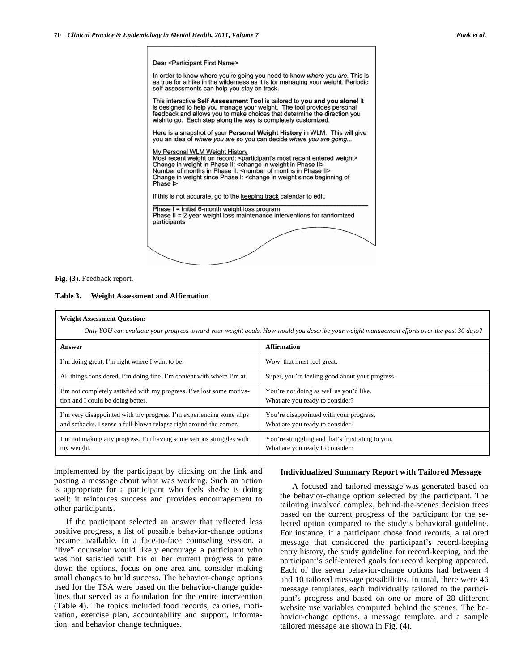Dear <Participant First Name>

In order to know where you're going you need to know where you are. This is as true for a hike in the wilderness as it is for managing your weight. Periodic self-assessments can help you stay on track.

This interactive Self Assessment Tool is tailored to you and you alone! It is designed to help you manage your weight. The tool provides personal feedback and allows you to make choices that determine the direction you wish to go. Each step along the way is completely customized.

Here is a snapshot of your Personal Weight History in WLM. This will give you an idea of where you are so you can decide where you are going...

My Personal WLM Weight History Most recent weight on record: <participant's most recent entered weight><br>Change in weight in Phase II: <change in weight in Phase II> Number of months in Phase II: < number of months in Phase II> Change in weight since Phase I: < change in weight since beginning of Phase I>

If this is not accurate, go to the keeping track calendar to edit.

Phase I = Initial 6-month weight loss program Phase II = 2-year weight loss maintenance interventions for randomized participants

**Fig. (3).** Feedback report.

**Table 3. Weight Assessment and Affirmation** 

| <b>Weight Assessment Question:</b>                                                                                                         |                                                                                     |  |
|--------------------------------------------------------------------------------------------------------------------------------------------|-------------------------------------------------------------------------------------|--|
| Only YOU can evaluate your progress toward your weight goals. How would you describe your weight management efforts over the past 30 days? |                                                                                     |  |
| Answer                                                                                                                                     | <b>Affirmation</b>                                                                  |  |
| I'm doing great, I'm right where I want to be.                                                                                             | Wow, that must feel great.                                                          |  |
| All things considered, I'm doing fine. I'm content with where I'm at.                                                                      | Super, you're feeling good about your progress.                                     |  |
| I'm not completely satisfied with my progress. I've lost some motiva-<br>tion and I could be doing better.                                 | You're not doing as well as you'd like.<br>What are you ready to consider?          |  |
| I'm very disappointed with my progress. I'm experiencing some slips<br>and setbacks. I sense a full-blown relapse right around the corner. | You're disappointed with your progress.<br>What are you ready to consider?          |  |
| I'm not making any progress. I'm having some serious struggles with<br>my weight.                                                          | You're struggling and that's frustrating to you.<br>What are you ready to consider? |  |

implemented by the participant by clicking on the link and posting a message about what was working. Such an action is appropriate for a participant who feels she/he is doing well; it reinforces success and provides encouragement to other participants.

If the participant selected an answer that reflected less positive progress, a list of possible behavior-change options became available. In a face-to-face counseling session, a "live" counselor would likely encourage a participant who was not satisfied with his or her current progress to pare down the options, focus on one area and consider making small changes to build success. The behavior-change options used for the TSA were based on the behavior-change guidelines that served as a foundation for the entire intervention (Table **4**). The topics included food records, calories, motivation, exercise plan, accountability and support, information, and behavior change techniques.

# **Individualized Summary Report with Tailored Message**

A focused and tailored message was generated based on the behavior-change option selected by the participant. The tailoring involved complex, behind-the-scenes decision trees based on the current progress of the participant for the selected option compared to the study's behavioral guideline. For instance, if a participant chose food records, a tailored message that considered the participant's record-keeping entry history, the study guideline for record-keeping, and the participant's self-entered goals for record keeping appeared. Each of the seven behavior-change options had between 4 and 10 tailored message possibilities. In total, there were 46 message templates, each individually tailored to the participant's progress and based on one or more of 28 different website use variables computed behind the scenes. The behavior-change options, a message template, and a sample tailored message are shown in Fig. (**4**).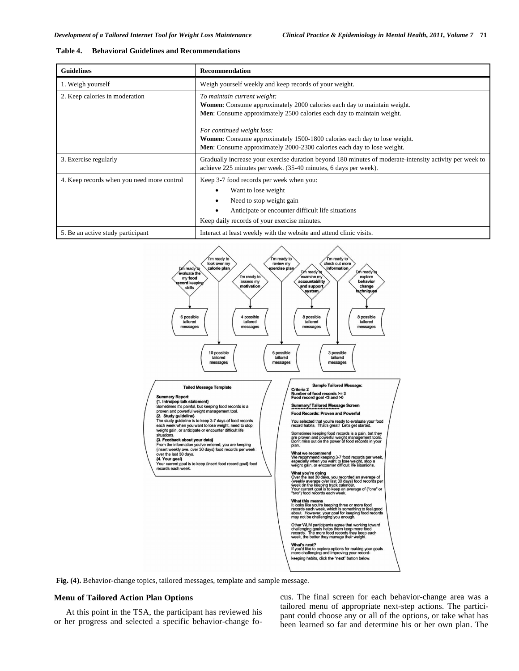#### **Table 4. Behavioral Guidelines and Recommendations**

| <b>Guidelines</b>                          | <b>Recommendation</b>                                                                                                                                                                                                                                                                                                                                                      |
|--------------------------------------------|----------------------------------------------------------------------------------------------------------------------------------------------------------------------------------------------------------------------------------------------------------------------------------------------------------------------------------------------------------------------------|
| 1. Weigh yourself                          | Weigh yourself weekly and keep records of your weight.                                                                                                                                                                                                                                                                                                                     |
| 2. Keep calories in moderation             | To maintain current weight:<br><b>Women:</b> Consume approximately 2000 calories each day to maintain weight.<br>Men: Consume approximately 2500 calories each day to maintain weight.<br>For continued weight loss:<br>Women: Consume approximately 1500-1800 calories each day to lose weight.<br>Men: Consume approximately 2000-2300 calories each day to lose weight. |
| 3. Exercise regularly                      | Gradually increase your exercise duration beyond 180 minutes of moderate-intensity activity per week to<br>achieve 225 minutes per week. (35-40 minutes, 6 days per week).                                                                                                                                                                                                 |
| 4. Keep records when you need more control | Keep 3-7 food records per week when you:<br>Want to lose weight<br>Need to stop weight gain<br>Anticipate or encounter difficult life situations<br>Keep daily records of your exercise minutes.                                                                                                                                                                           |
| 5. Be an active study participant          | Interact at least weekly with the website and attend clinic visits.                                                                                                                                                                                                                                                                                                        |



**Fig. (4).** Behavior-change topics, tailored messages, template and sample message.

# **Menu of Tailored Action Plan Options**

At this point in the TSA, the participant has reviewed his or her progress and selected a specific behavior-change focus. The final screen for each behavior-change area was a tailored menu of appropriate next-step actions. The participant could choose any or all of the options, or take what has been learned so far and determine his or her own plan. The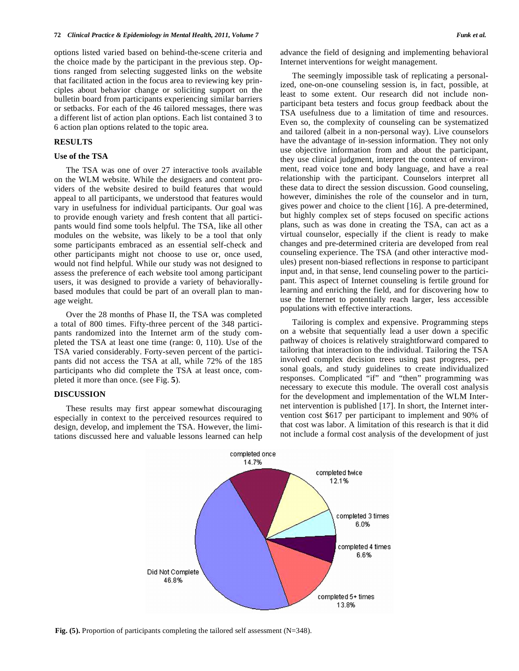options listed varied based on behind-the-scene criteria and the choice made by the participant in the previous step. Options ranged from selecting suggested links on the website that facilitated action in the focus area to reviewing key principles about behavior change or soliciting support on the bulletin board from participants experiencing similar barriers or setbacks. For each of the 46 tailored messages, there was a different list of action plan options. Each list contained 3 to 6 action plan options related to the topic area.

# **RESULTS**

### **Use of the TSA**

The TSA was one of over 27 interactive tools available on the WLM website. While the designers and content providers of the website desired to build features that would appeal to all participants, we understood that features would vary in usefulness for individual participants. Our goal was to provide enough variety and fresh content that all participants would find some tools helpful. The TSA, like all other modules on the website, was likely to be a tool that only some participants embraced as an essential self-check and other participants might not choose to use or, once used, would not find helpful. While our study was not designed to assess the preference of each website tool among participant users, it was designed to provide a variety of behaviorallybased modules that could be part of an overall plan to manage weight.

Over the 28 months of Phase II, the TSA was completed a total of 800 times. Fifty-three percent of the 348 participants randomized into the Internet arm of the study completed the TSA at least one time (range: 0, 110). Use of the TSA varied considerably. Forty-seven percent of the participants did not access the TSA at all, while 72% of the 185 participants who did complete the TSA at least once, completed it more than once. (see Fig. **5**).

#### **DISCUSSION**

These results may first appear somewhat discouraging especially in context to the perceived resources required to design, develop, and implement the TSA. However, the limitations discussed here and valuable lessons learned can help advance the field of designing and implementing behavioral Internet interventions for weight management.

The seemingly impossible task of replicating a personalized, one-on-one counseling session is, in fact, possible, at least to some extent. Our research did not include nonparticipant beta testers and focus group feedback about the TSA usefulness due to a limitation of time and resources. Even so, the complexity of counseling can be systematized and tailored (albeit in a non-personal way). Live counselors have the advantage of in-session information. They not only use objective information from and about the participant, they use clinical judgment, interpret the context of environment, read voice tone and body language, and have a real relationship with the participant. Counselors interpret all these data to direct the session discussion. Good counseling, however, diminishes the role of the counselor and in turn, gives power and choice to the client [16]. A pre-determined, but highly complex set of steps focused on specific actions plans, such as was done in creating the TSA, can act as a virtual counselor, especially if the client is ready to make changes and pre-determined criteria are developed from real counseling experience. The TSA (and other interactive modules) present non-biased reflections in response to participant input and, in that sense, lend counseling power to the participant. This aspect of Internet counseling is fertile ground for learning and enriching the field, and for discovering how to use the Internet to potentially reach larger, less accessible populations with effective interactions.

Tailoring is complex and expensive. Programming steps on a website that sequentially lead a user down a specific pathway of choices is relatively straightforward compared to tailoring that interaction to the individual. Tailoring the TSA involved complex decision trees using past progress, personal goals, and study guidelines to create individualized responses. Complicated "if" and "then" programming was necessary to execute this module. The overall cost analysis for the development and implementation of the WLM Internet intervention is published [17]. In short, the Internet intervention cost \$617 per participant to implement and 90% of that cost was labor. A limitation of this research is that it did not include a formal cost analysis of the development of just



**Fig. (5).** Proportion of participants completing the tailored self assessment (N=348).